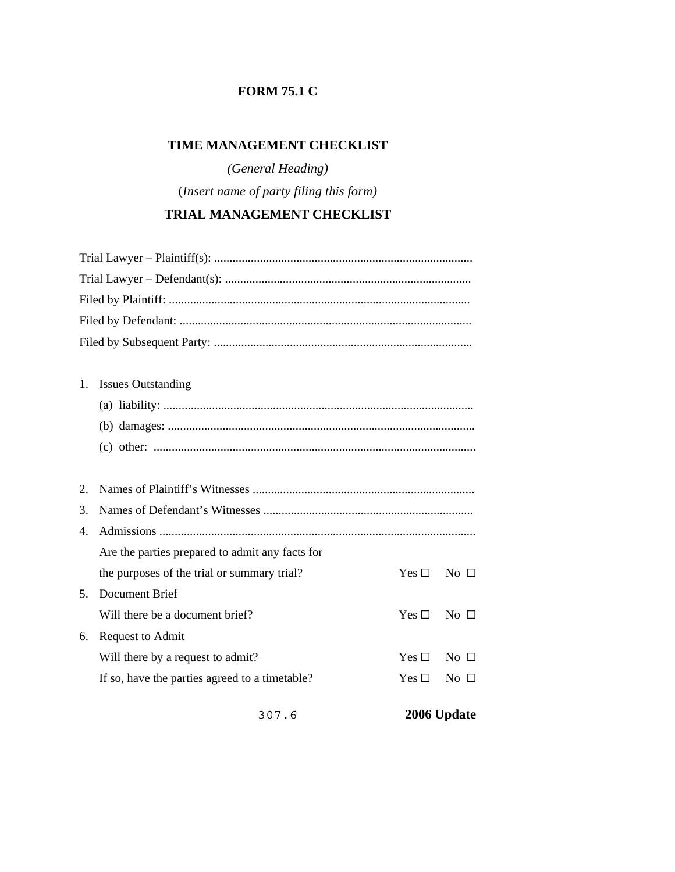## **FORM 75.1 C**

## **TIME MANAGEMENT CHECKLIST**

*(General Heading)* (*Insert name of party filing this form)*

## **TRIAL MANAGEMENT CHECKLIST**

| 3.<br>4. |                                                 |  |
|----------|-------------------------------------------------|--|
|          | Are the parties prepared to admit any facts for |  |
|          |                                                 |  |
|          |                                                 |  |
|          |                                                 |  |
| 2.       |                                                 |  |
|          |                                                 |  |
|          |                                                 |  |
|          |                                                 |  |
| 1.       | <b>Issues Outstanding</b>                       |  |
|          |                                                 |  |
|          |                                                 |  |
|          |                                                 |  |
|          |                                                 |  |
|          |                                                 |  |